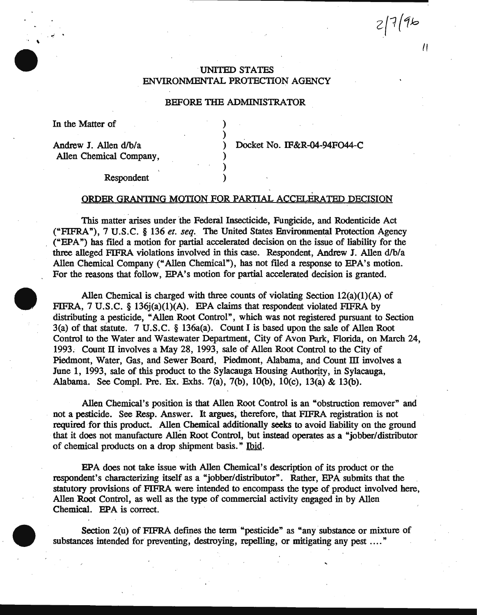$2796$ 

 $\prime$ 

# UNITED STATES ENVIRONMENTAL PROTECTION AGENCY

## BEFORE THE ADMINISTRATOR

)

) ) )

In the Matter of

 $\mathcal{L} \subset \mathbb{R}^{n \times n}$ 

Andrew J. Allen d/b/a Allen Chemical Company, ) Docket No. IF&R-04-94F044-C

Respondent

## ORDER GRANTING MOTION FOR PARTIAL ACCELERATED DECISION

This matter arises under the Federal Insecticide, Fungicide, and Rodenticide Act ("FIFRA"), 7 U.S.C. § 136 *et. seq.* The United States Environmental Protection Agency ("EPA") has filed a motion for partial accelerated decision on the issue of liability for the three alleged FIFRA violations involved in this case. Respondent, Andrew J. Allen d/b/a Allen Chemical Company ("Allen Chemical"), has not filed a response to EPA's motion. For the reasons that follow, EPA's motion for partial accelerated decision is granted.

Allen Chemical is charged with three counts of violating Section  $12(a)(1)(A)$  of FIFRA, 7 U.S.C. § 136j(a)(1)(A). EPA claims that respondent violated FIFRA by distributing a pesticide, "Allen Root Control", which was not registered pursuant to Section 3(a) of that statute. 7 U.S. C. § 136a(a). Count I is based upon the sale of Allen Root Control to the Water and Wastewater Department, City of Avon Park, Florida, on March 24, 1993. Count II involves a May 28, 1993, sale of Allen Root Control to the City of Piedmont, Water, Gas, and Sewer Board, Piedmont, Alabama, and Count III involves a June 1, 1993, sale of this product to the Sylacauga Housing Authority, in Sylacauga, Alabama. See Compl. Pre. Ex. Exhs. 7(a), 7(b), lO(b), lO(c), 13(a) & 13(b).

Allen Chemical's position is that Allen Root Control is an "obstruction remover" and . not a pesticide. See Resp. Answer. It argues; therefore, that FIFRA registration is not required for this product. Allen Chemical additionally seeks to avoid liability on the ground that it does not manufacture Allen Root Control, but instead operates as a "jobber/ distributor of chemical products on a drop shipment basis." Ibid.

EPA does not take issue with Allen Chemical's description of its product or the respondent's characterizing itself as a "jobber/distributor". Rather, EPA submits that the statutory provisions of FIFRA were intended to encompass the type of product involved here, Allen Root Control, as well as the type of commercial activity engaged in by Allen Chemical. EPA is correct.

Section 2(u) of FIFRA defines the term "pesticide" as "any substance or mixture of substances intended for preventing, destroying, repelling, or mitigating any pest ...."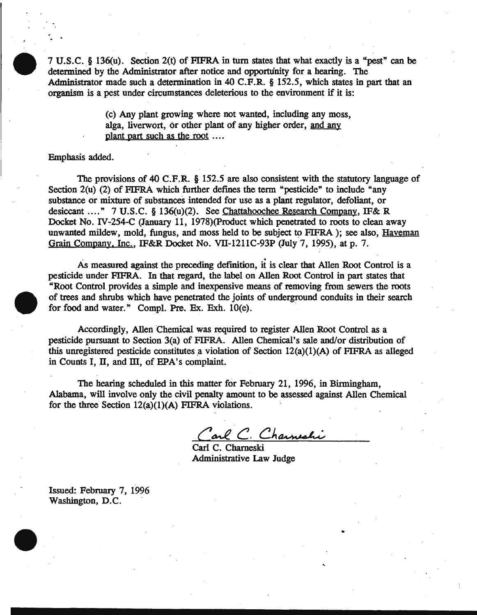7 U.S.C. § 136(u). Section 2(t) of FIFRA in turn states that what exactly is a "pest" can be determined by the Administrator after notice and opportunity for a hearing. The Administrator made such a determination in 40 C.P.R. § 152.5, which states in part that an organism is a pest under circumstances deleterious to the environment if it is:

> (c) Any plant growing where not wanted, including any moss, alga, liverwort, or other plant of any higher order, and any plant part such as the root ....

Emphasis added.

. .<br>. .

The provisions of 40 C.F.R. § 152.5 are also consistent with the statutory language of Section 2(u) (2) of FIFRA which further defines the term "pesticide" to include "any substance or mixture of substances intended for use as a plant regulator, defoliant, or desiccant .... " 7 U.S.C. § 136(u}(2). See Chattahoochee Research Company, IF& R Docket No. IV-254-C (January 11, 1978)(Product which penetrated to roots to clean away unwanted mildew, mold, fungus, and moss held to be subject to FIFRA ); see also, Haveman Grain Company, Inc., IF&R Docket No. VII-1211C-93P (July 7, 1995), at p. 7.

As measured against the preceding definition, it is clear that Allen Root Control is a pesticide under FIFRA. In that regard, the label on Allen Root Control in part states that "Root Control provides a simple and inexpensive means of removing from sewers the roots of trees and shrubs which have penetrated the joints of underground conduits in their search for food and water." Compl. Pre. Ex. Exh.  $10(e)$ .

Accordingly, Allen Chemical was required to register Allen Root Control as a pesticide pursuant to Section 3(a) of FIFRA. Allen Chemical's sale and/or distribution of this unregistered pesticide constitutes a violation of Section  $12(a)(1)(A)$  of FIFRA as alleged in Counts I, II, and III, of EPA's complaint.

The hearing scheduled in this matter for February 21, 1996, in Birmingham, Alabama, will involve only the civil penalty amount to be assessed against Allen Chemical for the three Section  $12(a)(1)(A)$  FIFRA violations.

Carl C. Charneali

Administrative Law Judge

Issued: February 7, 1996 Washington, D.C.